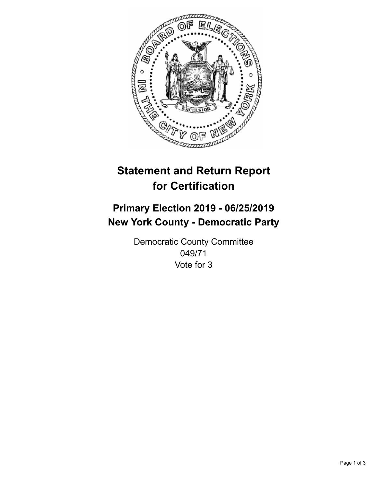

## **Statement and Return Report for Certification**

## **Primary Election 2019 - 06/25/2019 New York County - Democratic Party**

Democratic County Committee 049/71 Vote for 3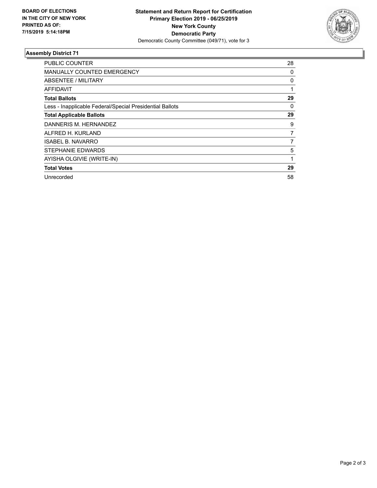

## **Assembly District 71**

| <b>PUBLIC COUNTER</b>                                    | 28 |
|----------------------------------------------------------|----|
| <b>MANUALLY COUNTED EMERGENCY</b>                        | 0  |
| ABSENTEE / MILITARY                                      | 0  |
| AFFIDAVIT                                                |    |
| <b>Total Ballots</b>                                     | 29 |
| Less - Inapplicable Federal/Special Presidential Ballots | 0  |
| <b>Total Applicable Ballots</b>                          | 29 |
| DANNERIS M. HERNANDEZ                                    | 9  |
| ALFRED H. KURLAND                                        | 7  |
| <b>ISABEL B. NAVARRO</b>                                 | 7  |
| STEPHANIE EDWARDS                                        | 5  |
| AYISHA OLGIVIE (WRITE-IN)                                | 1  |
| <b>Total Votes</b>                                       | 29 |
| Unrecorded                                               | 58 |